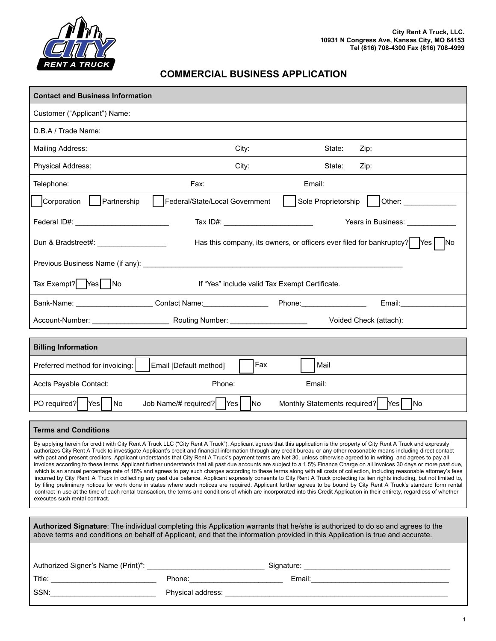

## **COMMERCIAL BUSINESS APPLICATION**

| <b>Contact and Business Information</b>                                                                                                                                                                                                                                                                                                                                                                                                                                                                                                                                                                                                                                                                                                                                                                                                                                                                                                                                                                                                                                                                                                                                                                                                                                                                                                                                                                                                                                        |                                     |                                    |                                          |  |
|--------------------------------------------------------------------------------------------------------------------------------------------------------------------------------------------------------------------------------------------------------------------------------------------------------------------------------------------------------------------------------------------------------------------------------------------------------------------------------------------------------------------------------------------------------------------------------------------------------------------------------------------------------------------------------------------------------------------------------------------------------------------------------------------------------------------------------------------------------------------------------------------------------------------------------------------------------------------------------------------------------------------------------------------------------------------------------------------------------------------------------------------------------------------------------------------------------------------------------------------------------------------------------------------------------------------------------------------------------------------------------------------------------------------------------------------------------------------------------|-------------------------------------|------------------------------------|------------------------------------------|--|
| Customer ("Applicant") Name:                                                                                                                                                                                                                                                                                                                                                                                                                                                                                                                                                                                                                                                                                                                                                                                                                                                                                                                                                                                                                                                                                                                                                                                                                                                                                                                                                                                                                                                   |                                     |                                    |                                          |  |
| D.B.A / Trade Name:                                                                                                                                                                                                                                                                                                                                                                                                                                                                                                                                                                                                                                                                                                                                                                                                                                                                                                                                                                                                                                                                                                                                                                                                                                                                                                                                                                                                                                                            |                                     |                                    |                                          |  |
| Mailing Address:                                                                                                                                                                                                                                                                                                                                                                                                                                                                                                                                                                                                                                                                                                                                                                                                                                                                                                                                                                                                                                                                                                                                                                                                                                                                                                                                                                                                                                                               | City:                               | State:                             | Zip:                                     |  |
| Physical Address:                                                                                                                                                                                                                                                                                                                                                                                                                                                                                                                                                                                                                                                                                                                                                                                                                                                                                                                                                                                                                                                                                                                                                                                                                                                                                                                                                                                                                                                              | City:                               | State:                             | Zip:                                     |  |
| Telephone:                                                                                                                                                                                                                                                                                                                                                                                                                                                                                                                                                                                                                                                                                                                                                                                                                                                                                                                                                                                                                                                                                                                                                                                                                                                                                                                                                                                                                                                                     | Fax:                                | Email:                             |                                          |  |
| Corporation   Partnership                                                                                                                                                                                                                                                                                                                                                                                                                                                                                                                                                                                                                                                                                                                                                                                                                                                                                                                                                                                                                                                                                                                                                                                                                                                                                                                                                                                                                                                      | Federal/State/Local Government      |                                    | Sole Proprietorship   Other: ___________ |  |
|                                                                                                                                                                                                                                                                                                                                                                                                                                                                                                                                                                                                                                                                                                                                                                                                                                                                                                                                                                                                                                                                                                                                                                                                                                                                                                                                                                                                                                                                                |                                     |                                    | Years in Business: <u>_____________</u>  |  |
| Has this company, its owners, or officers ever filed for bankruptcy?   Yes   No<br>Dun & Bradstreet#: <u>______________________</u>                                                                                                                                                                                                                                                                                                                                                                                                                                                                                                                                                                                                                                                                                                                                                                                                                                                                                                                                                                                                                                                                                                                                                                                                                                                                                                                                            |                                     |                                    |                                          |  |
|                                                                                                                                                                                                                                                                                                                                                                                                                                                                                                                                                                                                                                                                                                                                                                                                                                                                                                                                                                                                                                                                                                                                                                                                                                                                                                                                                                                                                                                                                |                                     |                                    |                                          |  |
| Tax Exempt?   Yes     No<br>If "Yes" include valid Tax Exempt Certificate.                                                                                                                                                                                                                                                                                                                                                                                                                                                                                                                                                                                                                                                                                                                                                                                                                                                                                                                                                                                                                                                                                                                                                                                                                                                                                                                                                                                                     |                                     |                                    |                                          |  |
| Bank-Name: _______________________Contact Name: _________________________________                                                                                                                                                                                                                                                                                                                                                                                                                                                                                                                                                                                                                                                                                                                                                                                                                                                                                                                                                                                                                                                                                                                                                                                                                                                                                                                                                                                              |                                     |                                    | Email: <b>Example</b>                    |  |
|                                                                                                                                                                                                                                                                                                                                                                                                                                                                                                                                                                                                                                                                                                                                                                                                                                                                                                                                                                                                                                                                                                                                                                                                                                                                                                                                                                                                                                                                                |                                     |                                    | Voided Check (attach):                   |  |
| <b>Billing Information</b>                                                                                                                                                                                                                                                                                                                                                                                                                                                                                                                                                                                                                                                                                                                                                                                                                                                                                                                                                                                                                                                                                                                                                                                                                                                                                                                                                                                                                                                     |                                     |                                    |                                          |  |
| Preferred method for invoicing:                                                                                                                                                                                                                                                                                                                                                                                                                                                                                                                                                                                                                                                                                                                                                                                                                                                                                                                                                                                                                                                                                                                                                                                                                                                                                                                                                                                                                                                | Fax<br>Email [Default method]       | Mail                               |                                          |  |
| Accts Payable Contact:                                                                                                                                                                                                                                                                                                                                                                                                                                                                                                                                                                                                                                                                                                                                                                                                                                                                                                                                                                                                                                                                                                                                                                                                                                                                                                                                                                                                                                                         | Phone:                              | Email:                             |                                          |  |
| PO required?   Yes<br>No                                                                                                                                                                                                                                                                                                                                                                                                                                                                                                                                                                                                                                                                                                                                                                                                                                                                                                                                                                                                                                                                                                                                                                                                                                                                                                                                                                                                                                                       | Job Name/# required?   Yes  <br>lNo | Monthly Statements required?   Yes | <b>No</b>                                |  |
| <b>Terms and Conditions</b>                                                                                                                                                                                                                                                                                                                                                                                                                                                                                                                                                                                                                                                                                                                                                                                                                                                                                                                                                                                                                                                                                                                                                                                                                                                                                                                                                                                                                                                    |                                     |                                    |                                          |  |
| By applying herein for credit with City Rent A Truck LLC ("City Rent A Truck"), Applicant agrees that this application is the property of City Rent A Truck and expressly<br>authorizes City Rent A Truck to investigate Applicant's credit and financial information through any credit bureau or any other reasonable means including direct contact<br>with past and present creditors. Applicant understands that City Rent A Truck's payment terms are Net 30, unless otherwise agreed to in writing, and agrees to pay all<br>invoices according to these terms. Applicant further understands that all past due accounts are subject to a 1.5% Finance Charge on all invoices 30 days or more past due,<br>which is an annual percentage rate of 18% and agrees to pay such charges according to these terms along with all costs of collection, including reasonable attorney's fees<br>incurred by City Rent A Truck in collecting any past due balance. Applicant expressly consents to City Rent A Truck protecting its lien rights including, but not limited to,<br>by filing preliminary notices for work done in states where such notices are required. Applicant further agrees to be bound by City Rent A Truck's standard form rental<br>contract in use at the time of each rental transaction, the terms and conditions of which are incorporated into this Credit Application in their entirety, regardless of whether<br>executes such rental contract. |                                     |                                    |                                          |  |
| Authorized Signature: The individual completing this Application warrants that he/she is authorized to do so and agrees to the<br>above terms and conditions on behalf of Applicant, and that the information provided in this Application is true and accurate.                                                                                                                                                                                                                                                                                                                                                                                                                                                                                                                                                                                                                                                                                                                                                                                                                                                                                                                                                                                                                                                                                                                                                                                                               |                                     |                                    |                                          |  |
|                                                                                                                                                                                                                                                                                                                                                                                                                                                                                                                                                                                                                                                                                                                                                                                                                                                                                                                                                                                                                                                                                                                                                                                                                                                                                                                                                                                                                                                                                |                                     |                                    |                                          |  |
|                                                                                                                                                                                                                                                                                                                                                                                                                                                                                                                                                                                                                                                                                                                                                                                                                                                                                                                                                                                                                                                                                                                                                                                                                                                                                                                                                                                                                                                                                |                                     |                                    |                                          |  |
|                                                                                                                                                                                                                                                                                                                                                                                                                                                                                                                                                                                                                                                                                                                                                                                                                                                                                                                                                                                                                                                                                                                                                                                                                                                                                                                                                                                                                                                                                |                                     |                                    |                                          |  |